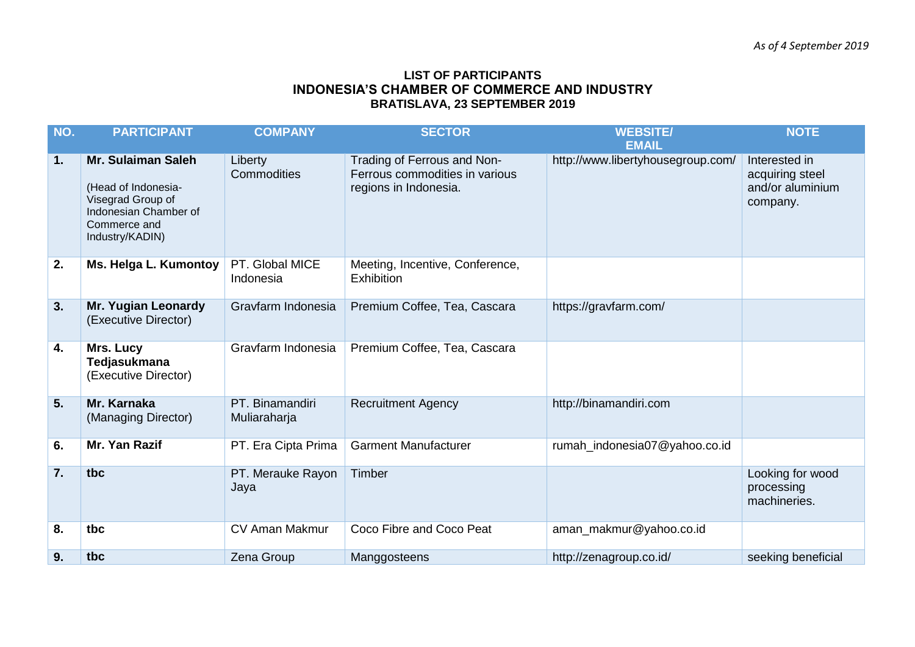## **LIST OF PARTICIPANTS INDONESIA'S CHAMBER OF COMMERCE AND INDUSTRY BRATISLAVA, 23 SEPTEMBER 2019**

| NO. | <b>PARTICIPANT</b>                                                                                                         | <b>COMPANY</b>                  | <b>SECTOR</b>                                                                          | <b>WEBSITE/</b><br><b>EMAIL</b>   | <b>NOTE</b>                                                      |
|-----|----------------------------------------------------------------------------------------------------------------------------|---------------------------------|----------------------------------------------------------------------------------------|-----------------------------------|------------------------------------------------------------------|
| 1.  | Mr. Sulaiman Saleh<br>(Head of Indonesia-<br>Visegrad Group of<br>Indonesian Chamber of<br>Commerce and<br>Industry/KADIN) | Liberty<br>Commodities          | Trading of Ferrous and Non-<br>Ferrous commodities in various<br>regions in Indonesia. | http://www.libertyhousegroup.com/ | Interested in<br>acquiring steel<br>and/or aluminium<br>company. |
| 2.  | Ms. Helga L. Kumontoy                                                                                                      | PT. Global MICE<br>Indonesia    | Meeting, Incentive, Conference,<br><b>Exhibition</b>                                   |                                   |                                                                  |
| 3.  | Mr. Yugian Leonardy<br>(Executive Director)                                                                                | Gravfarm Indonesia              | Premium Coffee, Tea, Cascara                                                           | https://gravfarm.com/             |                                                                  |
| 4.  | Mrs. Lucy<br>Tedjasukmana<br>(Executive Director)                                                                          | Gravfarm Indonesia              | Premium Coffee, Tea, Cascara                                                           |                                   |                                                                  |
| 5.  | Mr. Karnaka<br>(Managing Director)                                                                                         | PT. Binamandiri<br>Muliaraharja | <b>Recruitment Agency</b>                                                              | http://binamandiri.com            |                                                                  |
| 6.  | Mr. Yan Razif                                                                                                              | PT. Era Cipta Prima             | <b>Garment Manufacturer</b>                                                            | rumah_indonesia07@yahoo.co.id     |                                                                  |
| 7.  | tbc                                                                                                                        | PT. Merauke Rayon<br>Jaya       | Timber                                                                                 |                                   | Looking for wood<br>processing<br>machineries.                   |
| 8.  | tbc                                                                                                                        | <b>CV Aman Makmur</b>           | Coco Fibre and Coco Peat                                                               | aman_makmur@yahoo.co.id           |                                                                  |
| 9.  | tbc                                                                                                                        | Zena Group                      | Manggosteens                                                                           | http://zenagroup.co.id/           | seeking beneficial                                               |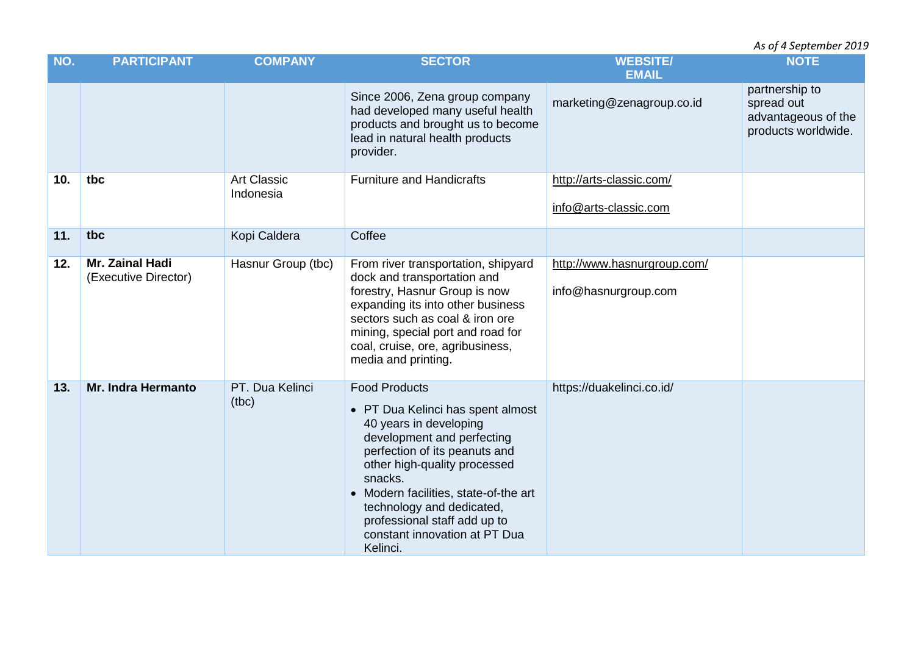*As of 4 September 2019* 

| NO. | <b>PARTICIPANT</b>                      | <b>COMPANY</b>                  | <b>SECTOR</b>                                                                                                                                                                                                                                                                                                                                    | <b>WEBSITE/</b><br><b>EMAIL</b>                     | <b>NOTE</b>                                                                |
|-----|-----------------------------------------|---------------------------------|--------------------------------------------------------------------------------------------------------------------------------------------------------------------------------------------------------------------------------------------------------------------------------------------------------------------------------------------------|-----------------------------------------------------|----------------------------------------------------------------------------|
|     |                                         |                                 | Since 2006, Zena group company<br>had developed many useful health<br>products and brought us to become<br>lead in natural health products<br>provider.                                                                                                                                                                                          | marketing@zenagroup.co.id                           | partnership to<br>spread out<br>advantageous of the<br>products worldwide. |
| 10. | tbc                                     | <b>Art Classic</b><br>Indonesia | <b>Furniture and Handicrafts</b>                                                                                                                                                                                                                                                                                                                 | http://arts-classic.com/<br>info@arts-classic.com   |                                                                            |
| 11. | tbc                                     | Kopi Caldera                    | Coffee                                                                                                                                                                                                                                                                                                                                           |                                                     |                                                                            |
| 12. | Mr. Zainal Hadi<br>(Executive Director) | Hasnur Group (tbc)              | From river transportation, shipyard<br>dock and transportation and<br>forestry, Hasnur Group is now<br>expanding its into other business<br>sectors such as coal & iron ore<br>mining, special port and road for<br>coal, cruise, ore, agribusiness,<br>media and printing.                                                                      | http://www.hasnurgroup.com/<br>info@hasnurgroup.com |                                                                            |
| 13. | <b>Mr. Indra Hermanto</b>               | PT. Dua Kelinci<br>(tbc)        | <b>Food Products</b><br>• PT Dua Kelinci has spent almost<br>40 years in developing<br>development and perfecting<br>perfection of its peanuts and<br>other high-quality processed<br>snacks.<br>• Modern facilities, state-of-the art<br>technology and dedicated,<br>professional staff add up to<br>constant innovation at PT Dua<br>Kelinci. | https://duakelinci.co.id/                           |                                                                            |